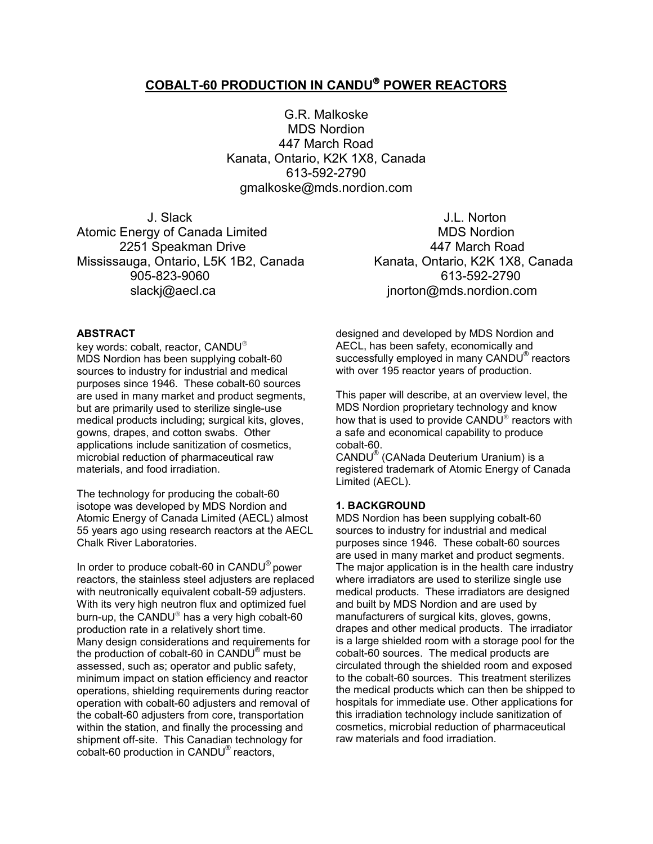# **COBALT-60 PRODUCTION IN CANDU POWER REACTORS**

G.R. Malkoske MDS Nordion 447 March Road Kanata, Ontario, K2K 1X8, Canada 613-592-2790 gmalkoske@mds.nordion.com

 J. Slack J.L. Norton Atomic Energy of Canada Limited MDS Nordion 2251 Speakman Drive **447 March Road** Mississauga, Ontario, L5K 1B2, Canada Kanata, Ontario, K2K 1X8, Canada 905-823-9060 613-592-2790 slacki@aecl.ca in the state of the inorton@mds.nordion.com

## **ABSTRACT**

key words: cobalt, reactor, CANDU MDS Nordion has been supplying cobalt-60 sources to industry for industrial and medical purposes since 1946. These cobalt-60 sources are used in many market and product segments, but are primarily used to sterilize single-use medical products including; surgical kits, gloves, gowns, drapes, and cotton swabs. Other applications include sanitization of cosmetics, microbial reduction of pharmaceutical raw materials, and food irradiation.

The technology for producing the cobalt-60 isotope was developed by MDS Nordion and Atomic Energy of Canada Limited (AECL) almost 55 years ago using research reactors at the AECL Chalk River Laboratories.

In order to produce cobalt-60 in CANDU® power reactors, the stainless steel adjusters are replaced with neutronically equivalent cobalt-59 adjusters. With its very high neutron flux and optimized fuel burn-up, the CANDU $^{\circ}$  has a very high cobalt-60 production rate in a relatively short time. Many design considerations and requirements for the production of cobalt-60 in CANDU® must be assessed, such as; operator and public safety, minimum impact on station efficiency and reactor operations, shielding requirements during reactor operation with cobalt-60 adjusters and removal of the cobalt-60 adjusters from core, transportation within the station, and finally the processing and shipment off-site. This Canadian technology for cobalt-60 production in CANDU<sup>®</sup> reactors,

designed and developed by MDS Nordion and AECL, has been safety, economically and successfully employed in many CANDU® reactors with over 195 reactor years of production.

This paper will describe, at an overview level, the MDS Nordion proprietary technology and know how that is used to provide  $CANDU^{\circ}$  reactors with a safe and economical capability to produce cobalt-60.

CANDU® (CANada Deuterium Uranium) is a registered trademark of Atomic Energy of Canada Limited (AECL).

## **1. BACKGROUND**

MDS Nordion has been supplying cobalt-60 sources to industry for industrial and medical purposes since 1946. These cobalt-60 sources are used in many market and product segments. The major application is in the health care industry where irradiators are used to sterilize single use medical products. These irradiators are designed and built by MDS Nordion and are used by manufacturers of surgical kits, gloves, gowns, drapes and other medical products. The irradiator is a large shielded room with a storage pool for the cobalt-60 sources. The medical products are circulated through the shielded room and exposed to the cobalt-60 sources. This treatment sterilizes the medical products which can then be shipped to hospitals for immediate use. Other applications for this irradiation technology include sanitization of cosmetics, microbial reduction of pharmaceutical raw materials and food irradiation.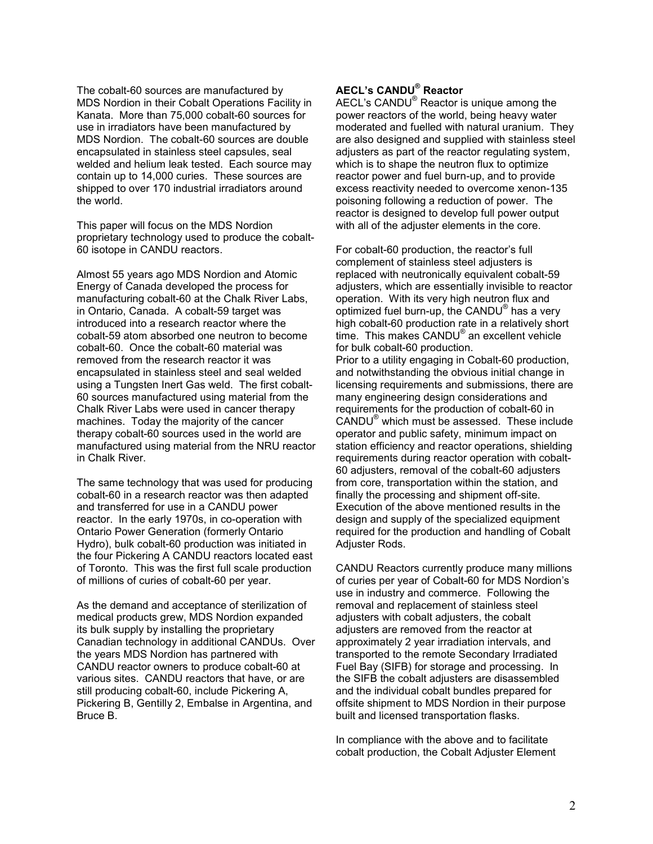The cobalt-60 sources are manufactured by MDS Nordion in their Cobalt Operations Facility in Kanata. More than 75,000 cobalt-60 sources for use in irradiators have been manufactured by MDS Nordion. The cobalt-60 sources are double encapsulated in stainless steel capsules, seal welded and helium leak tested. Each source may contain up to 14,000 curies. These sources are shipped to over 170 industrial irradiators around the world.

This paper will focus on the MDS Nordion proprietary technology used to produce the cobalt-60 isotope in CANDU reactors.

Almost 55 years ago MDS Nordion and Atomic Energy of Canada developed the process for manufacturing cobalt-60 at the Chalk River Labs, in Ontario, Canada. A cobalt-59 target was introduced into a research reactor where the cobalt-59 atom absorbed one neutron to become cobalt-60. Once the cobalt-60 material was removed from the research reactor it was encapsulated in stainless steel and seal welded using a Tungsten Inert Gas weld. The first cobalt-60 sources manufactured using material from the Chalk River Labs were used in cancer therapy machines. Today the majority of the cancer therapy cobalt-60 sources used in the world are manufactured using material from the NRU reactor in Chalk River.

The same technology that was used for producing cobalt-60 in a research reactor was then adapted and transferred for use in a CANDU power reactor. In the early 1970s, in co-operation with Ontario Power Generation (formerly Ontario Hydro), bulk cobalt-60 production was initiated in the four Pickering A CANDU reactors located east of Toronto. This was the first full scale production of millions of curies of cobalt-60 per year.

As the demand and acceptance of sterilization of medical products grew, MDS Nordion expanded its bulk supply by installing the proprietary Canadian technology in additional CANDUs. Over the years MDS Nordion has partnered with CANDU reactor owners to produce cobalt-60 at various sites. CANDU reactors that have, or are still producing cobalt-60, include Pickering A, Pickering B, Gentilly 2, Embalse in Argentina, and Bruce B.

## **AECL's CANDU® Reactor**

AECL's CANDU<sup>®</sup> Reactor is unique among the power reactors of the world, being heavy water moderated and fuelled with natural uranium. They are also designed and supplied with stainless steel adjusters as part of the reactor regulating system, which is to shape the neutron flux to optimize reactor power and fuel burn-up, and to provide excess reactivity needed to overcome xenon-135 poisoning following a reduction of power. The reactor is designed to develop full power output with all of the adjuster elements in the core.

For cobalt-60 production, the reactor's full complement of stainless steel adjusters is replaced with neutronically equivalent cobalt-59 adjusters, which are essentially invisible to reactor operation. With its very high neutron flux and optimized fuel burn-up, the CANDU® has a very high cobalt-60 production rate in a relatively short time. This makes CANDU® an excellent vehicle for bulk cobalt-60 production. Prior to a utility engaging in Cobalt-60 production, and notwithstanding the obvious initial change in licensing requirements and submissions, there are many engineering design considerations and requirements for the production of cobalt-60 in CANDU® which must be assessed. These include operator and public safety, minimum impact on station efficiency and reactor operations, shielding requirements during reactor operation with cobalt-60 adjusters, removal of the cobalt-60 adjusters from core, transportation within the station, and finally the processing and shipment off-site. Execution of the above mentioned results in the design and supply of the specialized equipment required for the production and handling of Cobalt Adjuster Rods.

CANDU Reactors currently produce many millions of curies per year of Cobalt-60 for MDS Nordion's use in industry and commerce. Following the removal and replacement of stainless steel adjusters with cobalt adjusters, the cobalt adjusters are removed from the reactor at approximately 2 year irradiation intervals, and transported to the remote Secondary Irradiated Fuel Bay (SIFB) for storage and processing. In the SIFB the cobalt adjusters are disassembled and the individual cobalt bundles prepared for offsite shipment to MDS Nordion in their purpose built and licensed transportation flasks.

In compliance with the above and to facilitate cobalt production, the Cobalt Adjuster Element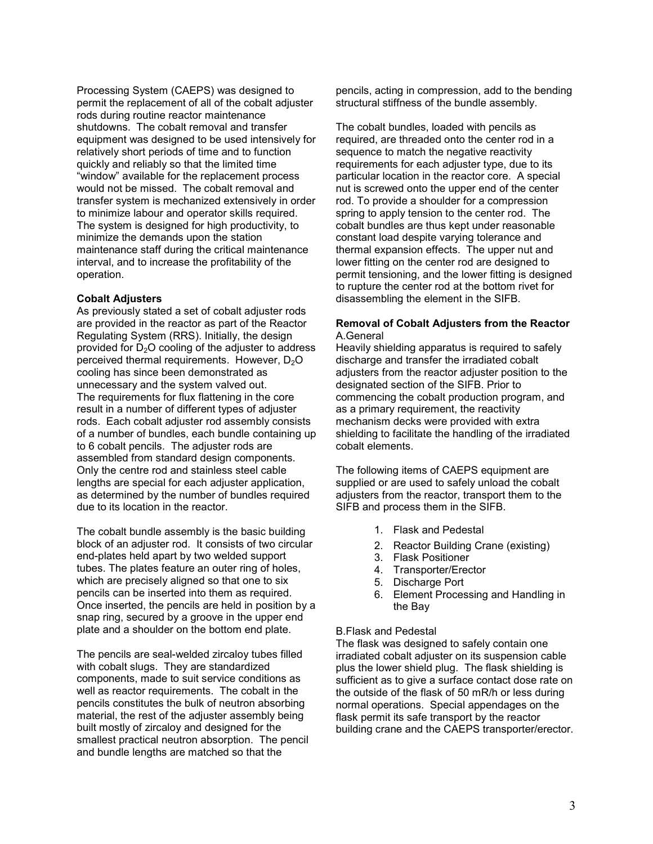Processing System (CAEPS) was designed to permit the replacement of all of the cobalt adjuster rods during routine reactor maintenance shutdowns. The cobalt removal and transfer equipment was designed to be used intensively for relatively short periods of time and to function quickly and reliably so that the limited time "window" available for the replacement process would not be missed. The cobalt removal and transfer system is mechanized extensively in order to minimize labour and operator skills required. The system is designed for high productivity, to minimize the demands upon the station maintenance staff during the critical maintenance interval, and to increase the profitability of the operation.

## **Cobalt Adjusters**

As previously stated a set of cobalt adjuster rods are provided in the reactor as part of the Reactor Regulating System (RRS). Initially, the design provided for  $D_2O$  cooling of the adjuster to address perceived thermal requirements. However,  $D_2O$ cooling has since been demonstrated as unnecessary and the system valved out. The requirements for flux flattening in the core result in a number of different types of adjuster rods. Each cobalt adjuster rod assembly consists of a number of bundles, each bundle containing up to 6 cobalt pencils. The adjuster rods are assembled from standard design components. Only the centre rod and stainless steel cable lengths are special for each adjuster application, as determined by the number of bundles required due to its location in the reactor.

The cobalt bundle assembly is the basic building block of an adjuster rod. It consists of two circular end-plates held apart by two welded support tubes. The plates feature an outer ring of holes, which are precisely aligned so that one to six pencils can be inserted into them as required. Once inserted, the pencils are held in position by a snap ring, secured by a groove in the upper end plate and a shoulder on the bottom end plate.

The pencils are seal-welded zircaloy tubes filled with cobalt slugs. They are standardized components, made to suit service conditions as well as reactor requirements. The cobalt in the pencils constitutes the bulk of neutron absorbing material, the rest of the adjuster assembly being built mostly of zircaloy and designed for the smallest practical neutron absorption. The pencil and bundle lengths are matched so that the

pencils, acting in compression, add to the bending structural stiffness of the bundle assembly.

The cobalt bundles, loaded with pencils as required, are threaded onto the center rod in a sequence to match the negative reactivity requirements for each adjuster type, due to its particular location in the reactor core. A special nut is screwed onto the upper end of the center rod. To provide a shoulder for a compression spring to apply tension to the center rod. The cobalt bundles are thus kept under reasonable constant load despite varying tolerance and thermal expansion effects. The upper nut and lower fitting on the center rod are designed to permit tensioning, and the lower fitting is designed to rupture the center rod at the bottom rivet for disassembling the element in the SIFB.

## **Removal of Cobalt Adjusters from the Reactor** A.General

Heavily shielding apparatus is required to safely discharge and transfer the irradiated cobalt adjusters from the reactor adjuster position to the designated section of the SIFB. Prior to commencing the cobalt production program, and as a primary requirement, the reactivity mechanism decks were provided with extra shielding to facilitate the handling of the irradiated cobalt elements.

The following items of CAEPS equipment are supplied or are used to safely unload the cobalt adjusters from the reactor, transport them to the SIFB and process them in the SIFB.

- 1. Flask and Pedestal
- 2. Reactor Building Crane (existing)
- 3. Flask Positioner
- 4. Transporter/Erector
- 5. Discharge Port
- 6. Element Processing and Handling in the Bay

#### B.Flask and Pedestal

The flask was designed to safely contain one irradiated cobalt adjuster on its suspension cable plus the lower shield plug. The flask shielding is sufficient as to give a surface contact dose rate on the outside of the flask of 50 mR/h or less during normal operations. Special appendages on the flask permit its safe transport by the reactor building crane and the CAEPS transporter/erector.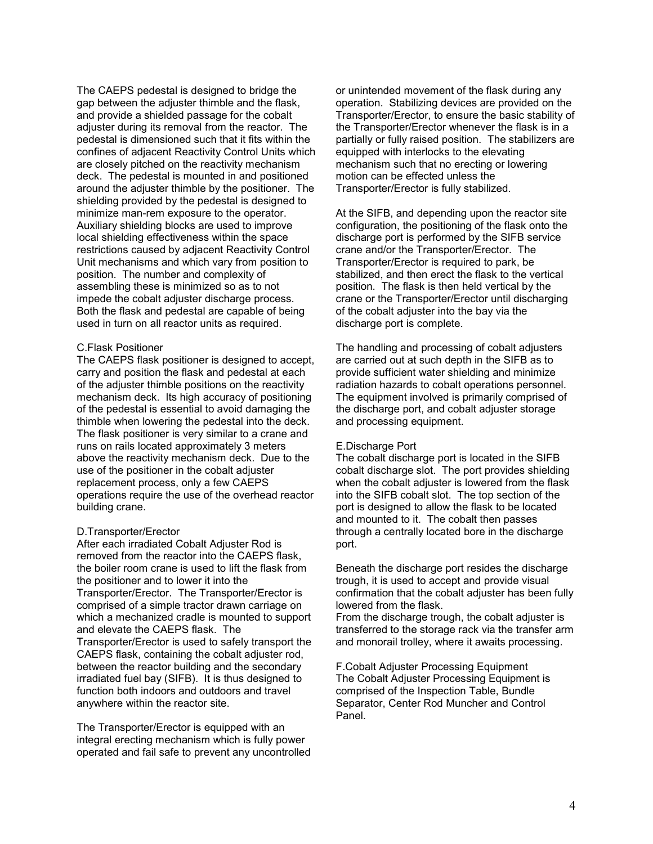The CAEPS pedestal is designed to bridge the gap between the adjuster thimble and the flask, and provide a shielded passage for the cobalt adjuster during its removal from the reactor. The pedestal is dimensioned such that it fits within the confines of adjacent Reactivity Control Units which are closely pitched on the reactivity mechanism deck. The pedestal is mounted in and positioned around the adjuster thimble by the positioner. The shielding provided by the pedestal is designed to minimize man-rem exposure to the operator. Auxiliary shielding blocks are used to improve local shielding effectiveness within the space restrictions caused by adjacent Reactivity Control Unit mechanisms and which vary from position to position. The number and complexity of assembling these is minimized so as to not impede the cobalt adjuster discharge process. Both the flask and pedestal are capable of being used in turn on all reactor units as required.

### C.Flask Positioner

The CAEPS flask positioner is designed to accept, carry and position the flask and pedestal at each of the adjuster thimble positions on the reactivity mechanism deck. Its high accuracy of positioning of the pedestal is essential to avoid damaging the thimble when lowering the pedestal into the deck. The flask positioner is very similar to a crane and runs on rails located approximately 3 meters above the reactivity mechanism deck. Due to the use of the positioner in the cobalt adjuster replacement process, only a few CAEPS operations require the use of the overhead reactor building crane.

## D.Transporter/Erector

After each irradiated Cobalt Adjuster Rod is removed from the reactor into the CAEPS flask, the boiler room crane is used to lift the flask from the positioner and to lower it into the Transporter/Erector. The Transporter/Erector is comprised of a simple tractor drawn carriage on which a mechanized cradle is mounted to support and elevate the CAEPS flask. The Transporter/Erector is used to safely transport the CAEPS flask, containing the cobalt adjuster rod, between the reactor building and the secondary irradiated fuel bay (SIFB). It is thus designed to function both indoors and outdoors and travel anywhere within the reactor site.

The Transporter/Erector is equipped with an integral erecting mechanism which is fully power operated and fail safe to prevent any uncontrolled or unintended movement of the flask during any operation. Stabilizing devices are provided on the Transporter/Erector, to ensure the basic stability of the Transporter/Erector whenever the flask is in a partially or fully raised position. The stabilizers are equipped with interlocks to the elevating mechanism such that no erecting or lowering motion can be effected unless the Transporter/Erector is fully stabilized.

At the SIFB, and depending upon the reactor site configuration, the positioning of the flask onto the discharge port is performed by the SIFB service crane and/or the Transporter/Erector. The Transporter/Erector is required to park, be stabilized, and then erect the flask to the vertical position. The flask is then held vertical by the crane or the Transporter/Erector until discharging of the cobalt adjuster into the bay via the discharge port is complete.

The handling and processing of cobalt adjusters are carried out at such depth in the SIFB as to provide sufficient water shielding and minimize radiation hazards to cobalt operations personnel. The equipment involved is primarily comprised of the discharge port, and cobalt adjuster storage and processing equipment.

#### E.Discharge Port

The cobalt discharge port is located in the SIFB cobalt discharge slot. The port provides shielding when the cobalt adjuster is lowered from the flask into the SIFB cobalt slot. The top section of the port is designed to allow the flask to be located and mounted to it. The cobalt then passes through a centrally located bore in the discharge port.

Beneath the discharge port resides the discharge trough, it is used to accept and provide visual confirmation that the cobalt adjuster has been fully lowered from the flask.

From the discharge trough, the cobalt adjuster is transferred to the storage rack via the transfer arm and monorail trolley, where it awaits processing.

F.Cobalt Adjuster Processing Equipment The Cobalt Adjuster Processing Equipment is comprised of the Inspection Table, Bundle Separator, Center Rod Muncher and Control Panel.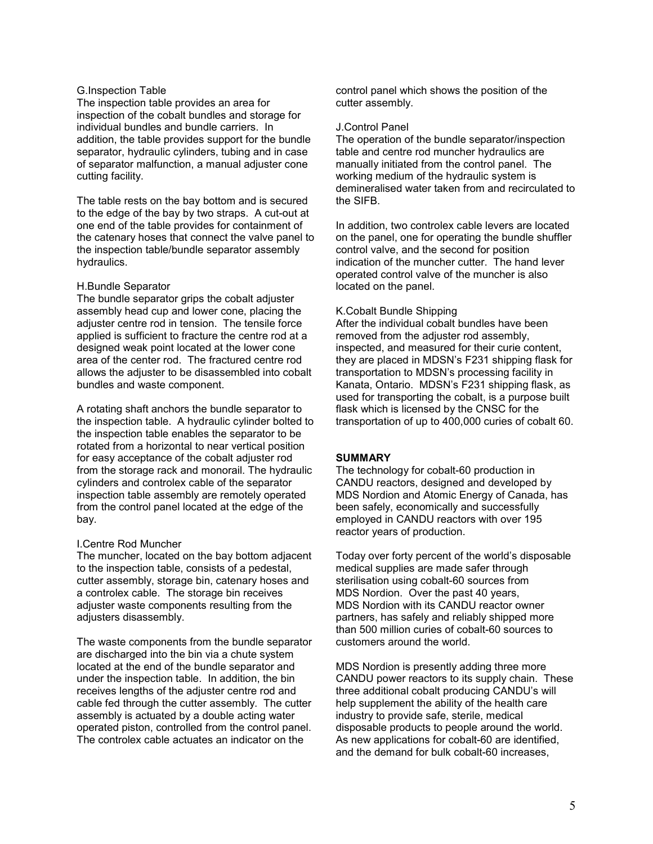## G.Inspection Table

The inspection table provides an area for inspection of the cobalt bundles and storage for individual bundles and bundle carriers. In addition, the table provides support for the bundle separator, hydraulic cylinders, tubing and in case of separator malfunction, a manual adjuster cone cutting facility.

The table rests on the bay bottom and is secured to the edge of the bay by two straps. A cut-out at one end of the table provides for containment of the catenary hoses that connect the valve panel to the inspection table/bundle separator assembly hydraulics.

### H.Bundle Separator

The bundle separator grips the cobalt adjuster assembly head cup and lower cone, placing the adjuster centre rod in tension. The tensile force applied is sufficient to fracture the centre rod at a designed weak point located at the lower cone area of the center rod. The fractured centre rod allows the adjuster to be disassembled into cobalt bundles and waste component.

A rotating shaft anchors the bundle separator to the inspection table. A hydraulic cylinder bolted to the inspection table enables the separator to be rotated from a horizontal to near vertical position for easy acceptance of the cobalt adjuster rod from the storage rack and monorail. The hydraulic cylinders and controlex cable of the separator inspection table assembly are remotely operated from the control panel located at the edge of the bay.

#### I.Centre Rod Muncher

The muncher, located on the bay bottom adjacent to the inspection table, consists of a pedestal, cutter assembly, storage bin, catenary hoses and a controlex cable. The storage bin receives adjuster waste components resulting from the adjusters disassembly.

The waste components from the bundle separator are discharged into the bin via a chute system located at the end of the bundle separator and under the inspection table. In addition, the bin receives lengths of the adjuster centre rod and cable fed through the cutter assembly. The cutter assembly is actuated by a double acting water operated piston, controlled from the control panel. The controlex cable actuates an indicator on the

control panel which shows the position of the cutter assembly.

### J.Control Panel

The operation of the bundle separator/inspection table and centre rod muncher hydraulics are manually initiated from the control panel. The working medium of the hydraulic system is demineralised water taken from and recirculated to the SIFB.

In addition, two controlex cable levers are located on the panel, one for operating the bundle shuffler control valve, and the second for position indication of the muncher cutter. The hand lever operated control valve of the muncher is also located on the panel.

### K.Cobalt Bundle Shipping

After the individual cobalt bundles have been removed from the adjuster rod assembly, inspected, and measured for their curie content, they are placed in MDSN's F231 shipping flask for transportation to MDSN's processing facility in Kanata, Ontario. MDSN's F231 shipping flask, as used for transporting the cobalt, is a purpose built flask which is licensed by the CNSC for the transportation of up to 400,000 curies of cobalt 60.

## **SUMMARY**

The technology for cobalt-60 production in CANDU reactors, designed and developed by MDS Nordion and Atomic Energy of Canada, has been safely, economically and successfully employed in CANDU reactors with over 195 reactor years of production.

Today over forty percent of the world's disposable medical supplies are made safer through sterilisation using cobalt-60 sources from MDS Nordion. Over the past 40 years, MDS Nordion with its CANDU reactor owner partners, has safely and reliably shipped more than 500 million curies of cobalt-60 sources to customers around the world.

MDS Nordion is presently adding three more CANDU power reactors to its supply chain. These three additional cobalt producing CANDU's will help supplement the ability of the health care industry to provide safe, sterile, medical disposable products to people around the world. As new applications for cobalt-60 are identified, and the demand for bulk cobalt-60 increases,